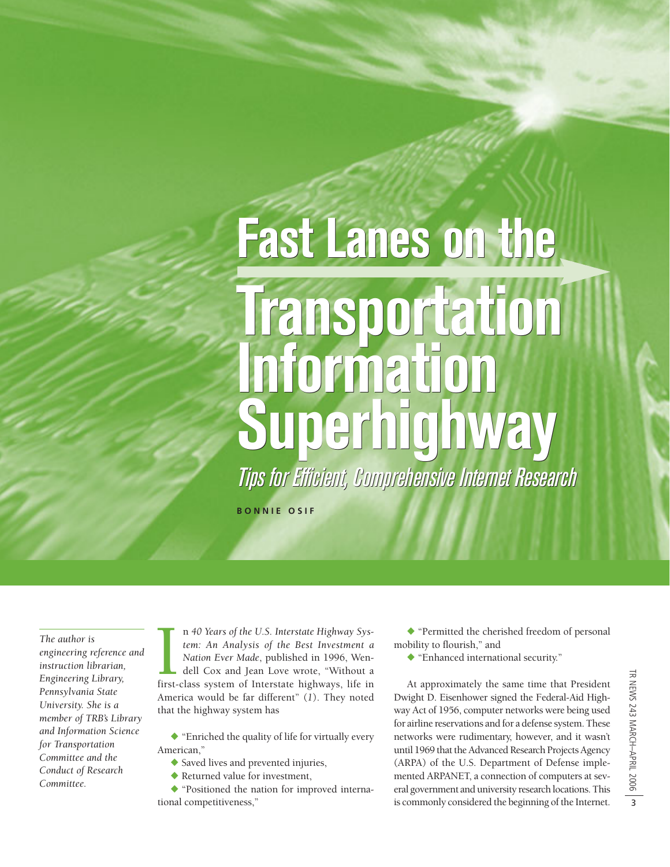# **Fast Lanes on the Fast Lanes on the Transportation Transportation Information Superhighway Superhighway Information**

Tips for Efficient, Comprehensive Internet Research Tips for Efficient, Comprehensive Internet Research

**BONNIE OSIF**

*The author is engineering reference and instruction librarian, Engineering Library, Pennsylvania State University. She is a member of TRB's Library and Information Science for Transportation Committee and the Conduct of Research Committee.*

n 40 Years of the U.S. Interstate Highway System: An Analysis of the Best Investment a Nation Ever Made, published in 1996, Wendell Cox and Jean Love wrote, "Without a first-class system of Interstate highways, life in n *40 Years of the U.S. Interstate Highway System: An Analysis of the Best Investment a Nation Ever Made*, published in 1996, Wendell Cox and Jean Love wrote, "Without a America would be far different" (*1*). They noted that the highway system has

- "Enriched the quality of life for virtually every American,"

- Saved lives and prevented injuries,
- Returned value for investment,

- "Positioned the nation for improved international competitiveness,"

- "Permitted the cherished freedom of personal mobility to flourish," and

- "Enhanced international security."

At approximately the same time that President Dwight D. Eisenhower signed the Federal-Aid Highway Act of 1956, computer networks were being used for airline reservations and for a defense system. These networks were rudimentary, however, and it wasn't until 1969 that the Advanced Research Projects Agency (ARPA) of the U.S. Department of Defense implemented ARPANET, a connection of computers at several government and university research locations. This is commonly considered the beginning of the Internet.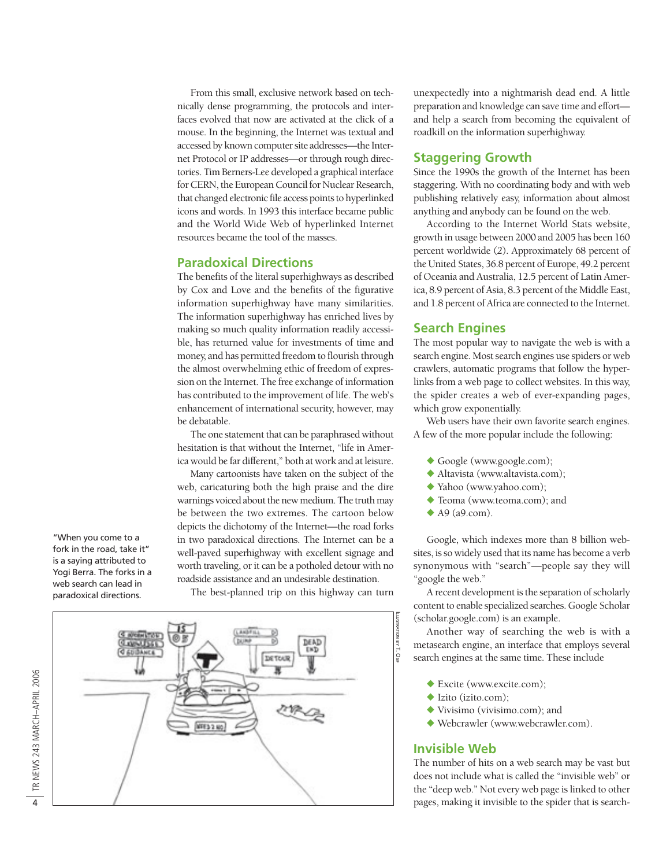From this small, exclusive network based on technically dense programming, the protocols and interfaces evolved that now are activated at the click of a mouse. In the beginning, the Internet was textual and accessed by known computer site addresses—the Internet Protocol or IP addresses—or through rough directories. Tim Berners-Lee developed a graphical interface for CERN, the European Council for Nuclear Research, that changed electronic file access points to hyperlinked icons and words. In 1993 this interface became public and the World Wide Web of hyperlinked Internet resources became the tool of the masses.

## **Paradoxical Directions**

The benefits of the literal superhighways as described by Cox and Love and the benefits of the figurative information superhighway have many similarities. The information superhighway has enriched lives by making so much quality information readily accessible, has returned value for investments of time and money, and has permitted freedom to flourish through the almost overwhelming ethic of freedom of expression on the Internet. The free exchange of information has contributed to the improvement of life. The web's enhancement of international security, however, may be debatable.

The one statement that can be paraphrased without hesitation is that without the Internet, "life in America would be far different," both at work and at leisure.

Many cartoonists have taken on the subject of the web, caricaturing both the high praise and the dire warnings voiced about the new medium. The truth may be between the two extremes. The cartoon below depicts the dichotomy of the Internet—the road forks in two paradoxical directions. The Internet can be a well-paved superhighway with excellent signage and worth traveling, or it can be a potholed detour with no roadside assistance and an undesirable destination.

The best-planned trip on this highway can turn

unexpectedly into a nightmarish dead end. A little preparation and knowledge can save time and effort and help a search from becoming the equivalent of roadkill on the information superhighway.

## **Staggering Growth**

Since the 1990s the growth of the Internet has been staggering. With no coordinating body and with web publishing relatively easy, information about almost anything and anybody can be found on the web.

According to the Internet World Stats website, growth in usage between 2000 and 2005 has been 160 percent worldwide (*2*). Approximately 68 percent of the United States, 36.8 percent of Europe, 49.2 percent of Oceania and Australia, 12.5 percent of Latin America, 8.9 percent of Asia, 8.3 percent of the Middle East, and 1.8 percent of Africa are connected to the Internet.

## **Search Engines**

The most popular way to navigate the web is with a search engine. Most search engines use spiders or web crawlers, automatic programs that follow the hyperlinks from a web page to collect websites. In this way, the spider creates a web of ever-expanding pages, which grow exponentially.

Web users have their own favorite search engines. A few of the more popular include the following:

- Google (www.google.com);
- Altavista (www.altavista.com);
- Yahoo (www.yahoo.com);
- Teoma (www.teoma.com); and
- $\blacklozenge$  A9 (a9.com).

Google, which indexes more than 8 billion websites, is so widely used that its name has become a verb synonymous with "search"—people say they will "google the web."

A recent development is the separation of scholarly content to enable specialized searches. Google Scholar (scholar.google.com) is an example.

Another way of searching the web is with a metasearch engine, an interface that employs several search engines at the same time. These include

- Excite (www.excite.com);
- ◆ Izito (izito.com);
- Vivisimo (vivisimo.com); and
- Webcrawler (www.webcrawler.com).

## **Invisible Web**

ILLUSTRATION

BY T. OSIF

The number of hits on a web search may be vast but does not include what is called the "invisible web" or the "deep web." Not every web page is linked to other pages, making it invisible to the spider that is search-

"When you come to a fork in the road, take it" is a saying attributed to Yogi Berra. The forks in a web search can lead in paradoxical directions.

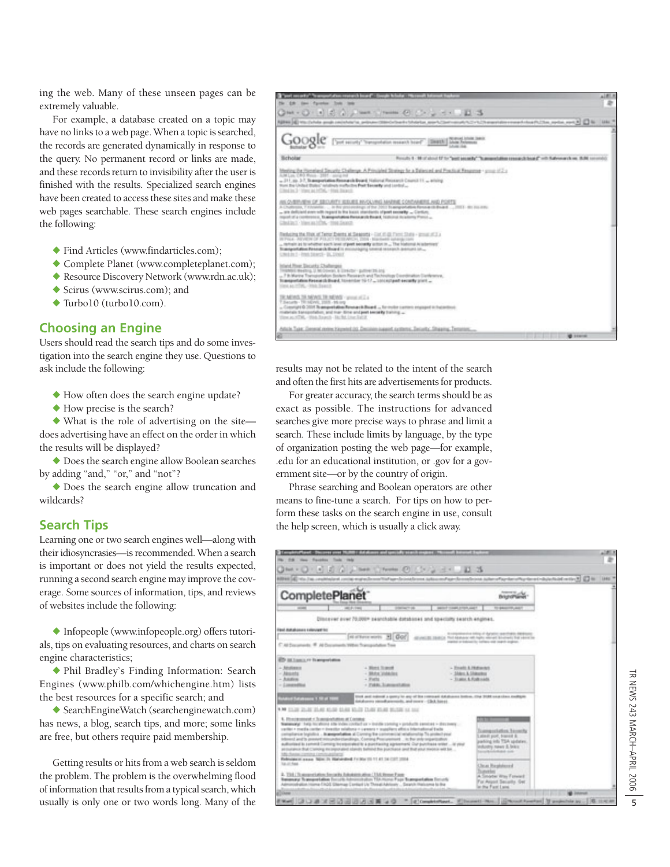ing the web. Many of these unseen pages can be extremely valuable.

For example, a database created on a topic may have no links to a web page. When a topic is searched, the records are generated dynamically in response to the query. No permanent record or links are made, and these records return to invisibility after the user is finished with the results. Specialized search engines have been created to access these sites and make these web pages searchable. These search engines include the following:

- Find Articles (www.findarticles.com);
- Complete Planet (www.completeplanet.com);
- Resource Discovery Network (www.rdn.ac.uk);
- Scirus (www.scirus.com); and
- Turbo10 (turbo10.com).

## **Choosing an Engine**

Users should read the search tips and do some investigation into the search engine they use. Questions to ask include the following:

- How often does the search engine update?
- How precise is the search?

- What is the role of advertising on the site does advertising have an effect on the order in which the results will be displayed?

- Does the search engine allow Boolean searches by adding "and," "or," and "not"?

- Does the search engine allow truncation and wildcards?

## **Search Tips**

Learning one or two search engines well—along with their idiosyncrasies—is recommended. When a search is important or does not yield the results expected, running a second search engine may improve the coverage. Some sources of information, tips, and reviews of websites include the following:

- Infopeople (www.infopeople.org) offers tutorials, tips on evaluating resources, and charts on search engine characteristics;

- Phil Bradley's Finding Information: Search Engines (www.philb.com/whichengine.htm) lists the best resources for a specific search; and

- SearchEngineWatch (searchenginewatch.com) has news, a blog, search tips, and more; some links are free, but others require paid membership.

Getting results or hits from a web search is seldom the problem. The problem is the overwhelming flood of information that results from a typical search, which usually is only one or two words long. Many of the



results may not be related to the intent of the search and often the first hits are advertisements for products.

For greater accuracy, the search terms should be as exact as possible. The instructions for advanced searches give more precise ways to phrase and limit a search. These include limits by language, by the type of organization posting the web page—for example, .edu for an educational institution, or .gov for a government site—or by the country of origin.

Phrase searching and Boolean operators are other means to fine-tune a search. For tips on how to perform these tasks on the search engine in use, consult the help screen, which is usually a click away.



5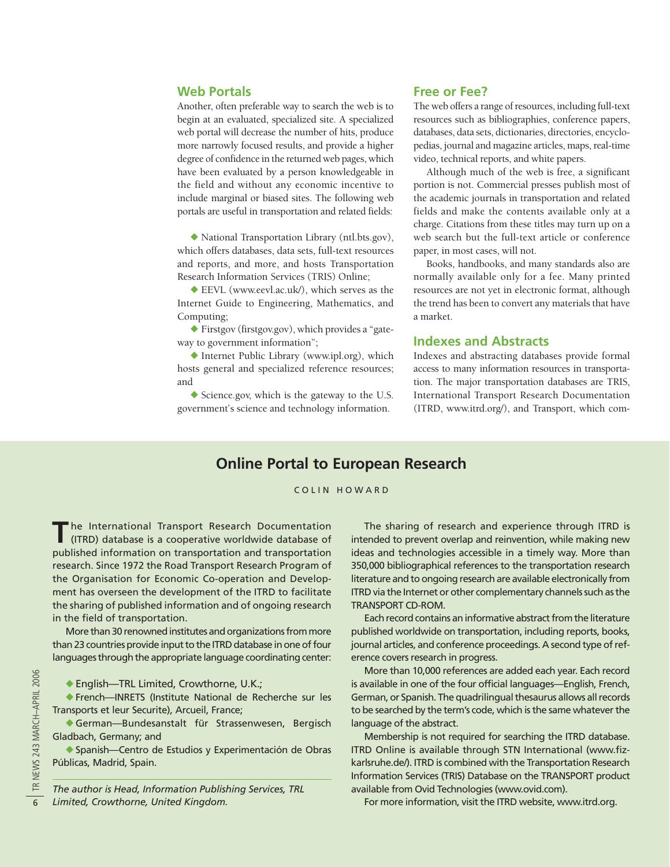## **Web Portals**

Another, often preferable way to search the web is to begin at an evaluated, specialized site. A specialized web portal will decrease the number of hits, produce more narrowly focused results, and provide a higher degree of confidence in the returned web pages, which have been evaluated by a person knowledgeable in the field and without any economic incentive to include marginal or biased sites. The following web portals are useful in transportation and related fields:

- National Transportation Library (ntl.bts.gov), which offers databases, data sets, full-text resources and reports, and more, and hosts Transportation Research Information Services (TRIS) Online;

◆ EEVL (www.eevl.ac.uk/), which serves as the Internet Guide to Engineering, Mathematics, and Computing;

- Firstgov (firstgov.gov), which provides a "gateway to government information";

- Internet Public Library (www.ipl.org), which hosts general and specialized reference resources; and

- Science.gov, which is the gateway to the U.S. government's science and technology information.

## **Free or Fee?**

The web offers a range of resources, including full-text resources such as bibliographies, conference papers, databases, data sets, dictionaries, directories, encyclopedias, journal and magazine articles, maps, real-time video, technical reports, and white papers.

Although much of the web is free, a significant portion is not. Commercial presses publish most of the academic journals in transportation and related fields and make the contents available only at a charge. Citations from these titles may turn up on a web search but the full-text article or conference paper, in most cases, will not.

Books, handbooks, and many standards also are normally available only for a fee. Many printed resources are not yet in electronic format, although the trend has been to convert any materials that have a market.

#### **Indexes and Abstracts**

Indexes and abstracting databases provide formal access to many information resources in transportation. The major transportation databases are TRIS, International Transport Research Documentation (ITRD, www.itrd.org/), and Transport, which com-

## **Online Portal to European Research**

#### COLIN HOWARD

The International Transport Research Documentation<br>(ITRD) database is a cooperative worldwide database of published information on transportation and transportation research. Since 1972 the Road Transport Research Program of the Organisation for Economic Co-operation and Development has overseen the development of the ITRD to facilitate the sharing of published information and of ongoing research in the field of transportation.

More than 30 renowned institutes and organizations from more than 23 countries provide input to the ITRD database in one of four languages through the appropriate language coordinating center:

◆ English-TRL Limited, Crowthorne, U.K.;

- French—INRETS (Institute National de Recherche sur les Transports et leur Securite), Arcueil, France;

- German—Bundesanstalt für Strassenwesen, Bergisch Gladbach, Germany; and

- Spanish—Centro de Estudios y Experimentación de Obras Públicas, Madrid, Spain.

*The author is Head, Information Publishing Services, TRL Limited, Crowthorne, United Kingdom.*

The sharing of research and experience through ITRD is intended to prevent overlap and reinvention, while making new ideas and technologies accessible in a timely way. More than 350,000 bibliographical references to the transportation research literature and to ongoing research are available electronically from ITRD via the Internet or other complementary channels such as the TRANSPORT CD-ROM.

Each record contains an informative abstract from the literature published worldwide on transportation, including reports, books, journal articles, and conference proceedings. A second type of reference covers research in progress.

More than 10,000 references are added each year. Each record is available in one of the four official languages—English, French, German, or Spanish. The quadrilingual thesaurus allows all records to be searched by the term's code, which is the same whatever the language of the abstract.

Membership is not required for searching the ITRD database. ITRD Online is available through STN International (www.fizkarlsruhe.de/). ITRD is combined with the Transportation Research Information Services (TRIS) Database on the TRANSPORT product available from Ovid Technologies (www.ovid.com).

For more information, visit the ITRD website, www.itrd.org.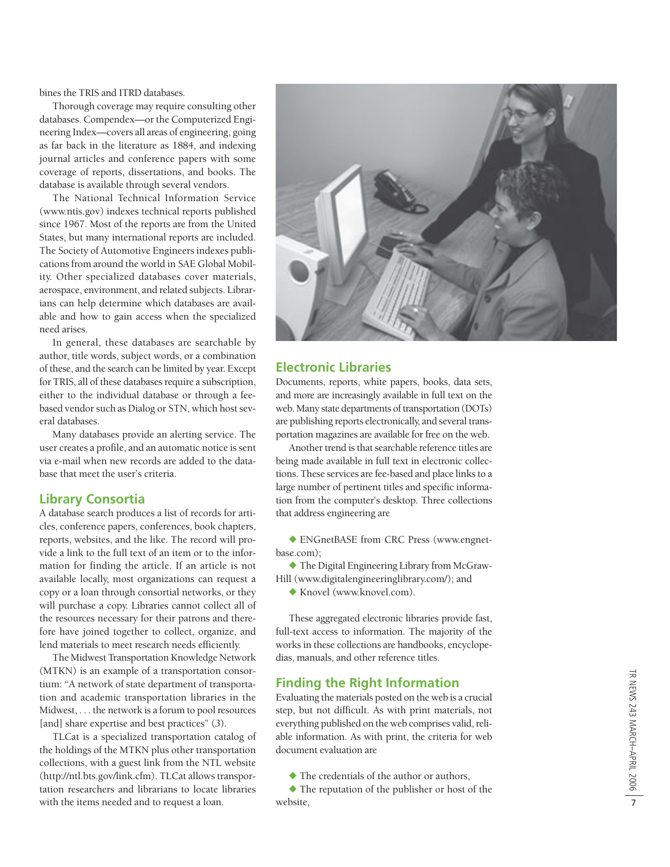bines the TRIS and ITRD databases.

Thorough coverage may require consulting other databases. Compendex—or the Computerized Engineering Index—covers all areas of engineering, going as far back in the literature as 1884, and indexing journal articles and conference papers with some coverage of reports, dissertations, and books. The database is available through several vendors.

The National Technical Information Service (www.ntis.gov) indexes technical reports published since 1967. Most of the reports are from the United States, but many international reports are included. The Society of Automotive Engineers indexes publications from around the world in SAE Global Mobility. Other specialized databases cover materials, aerospace, environment, and related subjects. Librarians can help determine which databases are available and how to gain access when the specialized need arises.

In general, these databases are searchable by author, title words, subject words, or a combination of these, and the search can be limited by year. Except for TRIS, all of these databases require a subscription, either to the individual database or through a feebased vendor such as Dialog or STN, which host several databases.

Many databases provide an alerting service. The user creates a profile, and an automatic notice is sent via e-mail when new records are added to the database that meet the user's criteria.

## **Library Consortia**

A database search produces a list of records for articles, conference papers, conferences, book chapters, reports, websites, and the like. The record will provide a link to the full text of an item or to the information for finding the article. If an article is not available locally, most organizations can request a copy or a loan through consortial networks, or they will purchase a copy. Libraries cannot collect all of the resources necessary for their patrons and therefore have joined together to collect, organize, and lend materials to meet research needs efficiently.

The Midwest Transportation Knowledge Network (MTKN) is an example of a transportation consortium: "A network of state department of transportation and academic transportation libraries in the Midwest, . . . the network is a forum to pool resources [and] share expertise and best practices" ( *3*).

TLCat is a specialized transportation catalog of the holdings of the MTKN plus other transportation collections, with a guest link from the NTL website (http://ntl.bts.gov/link.cfm). TLCat allows transportation researchers and librarians to locate libraries with the items needed and to request a loan.



## **Electronic Libraries**

Documents, reports, white papers, books, data sets, and more are increasingly available in full text on the web. Many state departments of transportation (DOTs) are publishing reports electronically, and several transportation magazines are available for free on the web.

Another trend is that searchable reference titles are being made available in full text in electronic collections. These services are fee-based and place links to a large number of pertinent titles and specific information from the computer's desktop. Three collections that address engineering are

- ENGnetBASE from CRC Press (www.engnetbase.com);

- The Digital Engineering Library from McGraw-Hill (www.digitalengineeringlibrary.com/); and

- Knovel (www.knovel.com).

These aggregated electronic libraries provide fast, full-text access to information. The majority of the works in these collections are handbooks, encyclopedias, manuals, and other reference titles.

## **Finding the Right Information**

Evaluating the materials posted on the web is a crucial step, but not difficult. As with print materials, not everything published on the web comprises valid, reliable information. As with print, the criteria for web document evaluation are

- The credentials of the author or authors,

- The reputation of the publisher or host of the website,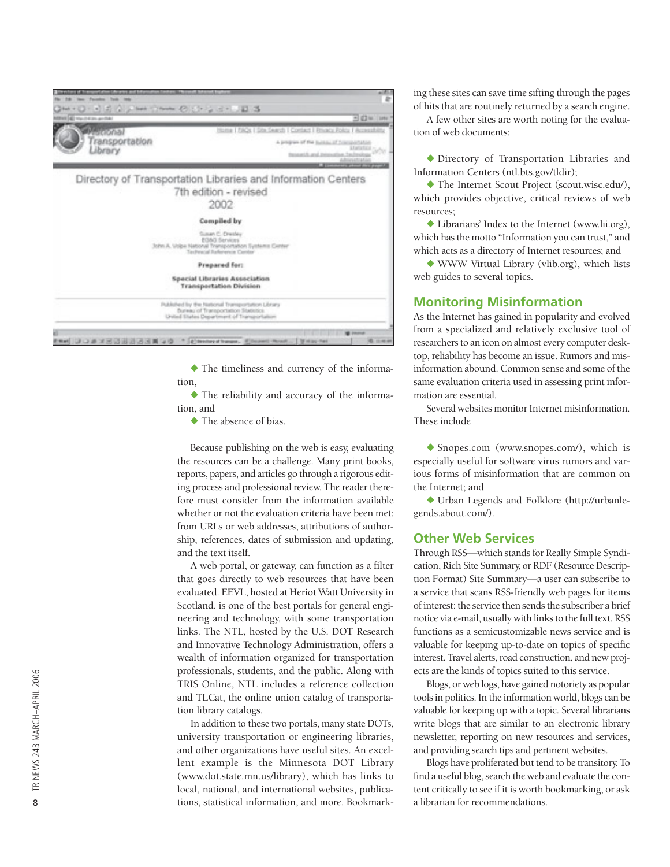

- The timeliness and currency of the information,

- The reliability and accuracy of the information, and

- The absence of bias.

Because publishing on the web is easy, evaluating the resources can be a challenge. Many print books, reports, papers, and articles go through a rigorous editing process and professional review. The reader therefore must consider from the information available whether or not the evaluation criteria have been met: from URLs or web addresses, attributions of authorship, references, dates of submission and updating, and the text itself.

A web portal, or gateway, can function as a filter that goes directly to web resources that have been evaluated. EEVL, hosted at Heriot Watt University in Scotland, is one of the best portals for general engineering and technology, with some transportation links. The NTL, hosted by the U.S. DOT Research and Innovative Technology Administration, offers a wealth of information organized for transportation professionals, students, and the public. Along with TRIS Online, NTL includes a reference collection and TLCat, the online union catalog of transportation library catalogs.

In addition to these two portals, many state DOTs, university transportation or engineering libraries, and other organizations have useful sites. An excellent example is the Minnesota DOT Library (www.dot.state.mn.us/library), which has links to local, national, and international websites, publications, statistical information, and more. Bookmarking these sites can save time sifting through the pages of hits that are routinely returned by a search engine.

A few other sites are worth noting for the evaluation of web documents:

- Directory of Transportation Libraries and Information Centers (ntl.bts.gov/tldir);

- The Internet Scout Project (scout.wisc.edu/), which provides objective, critical reviews of web resources;

- Librarians' Index to the Internet (www.lii.org), which has the motto "Information you can trust," and which acts as a directory of Internet resources; and

- WWW Virtual Library (vlib.org), which lists web guides to several topics.

## **Monitoring Misinformation**

As the Internet has gained in popularity and evolved from a specialized and relatively exclusive tool of researchers to an icon on almost every computer desktop, reliability has become an issue. Rumors and misinformation abound. Common sense and some of the same evaluation criteria used in assessing print information are essential.

Several websites monitor Internet misinformation. These include

- Snopes.com (www.snopes.com/), which is especially useful for software virus rumors and various forms of misinformation that are common on the Internet; and

- Urban Legends and Folklore (http://urbanlegends.about.com/).

## **Other Web Services**

Through RSS—which stands for Really Simple Syndication, Rich Site Summary, or RDF (Resource Description Format) Site Summary—a user can subscribe to a service that scans RSS-friendly web pages for items of interest; the service then sends the subscriber a brief notice via e-mail, usually with links to the full text. RSS functions as a semicustomizable news service and is valuable for keeping up-to-date on topics of specific interest. Travel alerts, road construction, and new projects are the kinds of topics suited to this service.

Blogs, or web logs, have gained notoriety as popular tools in politics. In the information world, blogs can be valuable for keeping up with a topic. Several librarians write blogs that are similar to an electronic library newsletter, reporting on new resources and services, and providing search tips and pertinent websites.

Blogs have proliferated but tend to be transitory. To find a useful blog, search the web and evaluate the content critically to see if it is worth bookmarking, or ask a librarian for recommendations.